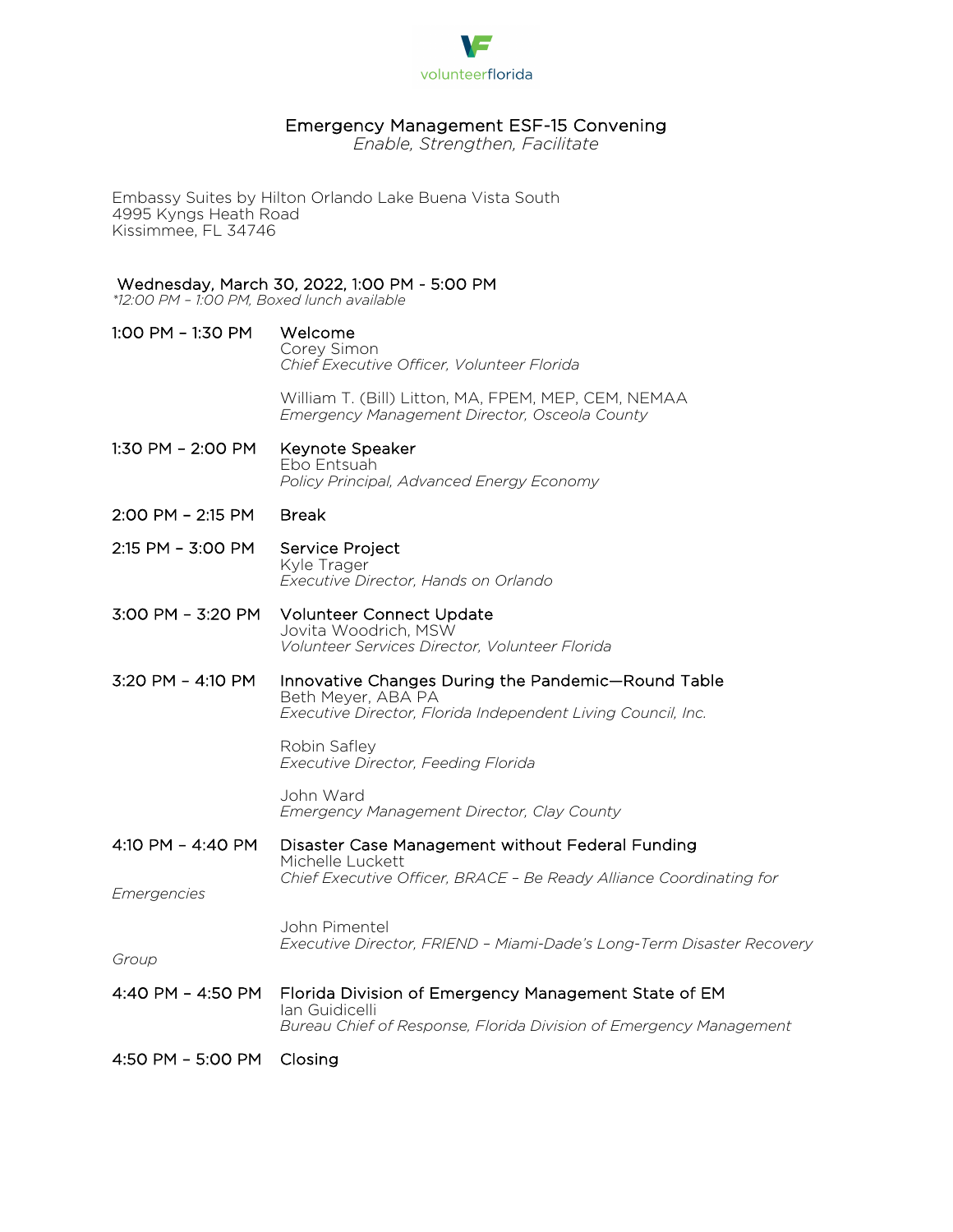

## Emergency Management ESF-15 Convening

*Enable, Strengthen, Facilitate*

Embassy Suites by Hilton Orlando Lake Buena Vista South 4995 Kyngs Heath Road Kissimmee, FL 34746

## Wednesday, March 30, 2022, 1:00 PM - 5:00 PM

*\*12:00 PM – 1:00 PM, Boxed lunch available* 

1:00 PM – 1:30 PM Welcome Corey Simon *Chief Executive Officer, Volunteer Florida*

> William T. (Bill) Litton, MA, FPEM, MEP, CEM, NEMAA *Emergency Management Director, Osceola County*

- 1:30 PM 2:00 PM Keynote Speaker Ebo Entsuah *Policy Principal, Advanced Energy Economy*
- 2:00 PM 2:15 PM Break
- 2:15 PM 3:00 PM Service Project Kyle Trager *Executive Director, Hands on Orlando*
- 3:00 PM 3:20 PM Volunteer Connect Update Jovita Woodrich, MSW *Volunteer Services Director, Volunteer Florida*
- 3:20 PM 4:10 PM Innovative Changes During the Pandemic—Round Table Beth Meyer, ABA PA *Executive Director, Florida Independent Living Council, Inc.*

Robin Safley *Executive Director, Feeding Florida* 

John Ward *Emergency Management Director, Clay County* 

4:10 PM – 4:40 PM Disaster Case Management without Federal Funding Michelle Luckett *Chief Executive Officer, BRACE – Be Ready Alliance Coordinating for* 

*Emergencies*

John Pimentel *Executive Director, FRIEND – Miami-Dade's Long-Term Disaster Recovery* 

*Group*

4:40 PM – 4:50 PM Florida Division of Emergency Management State of EM Ian Guidicelli *Bureau Chief of Response, Florida Division of Emergency Management*

4:50 PM – 5:00 PM Closing